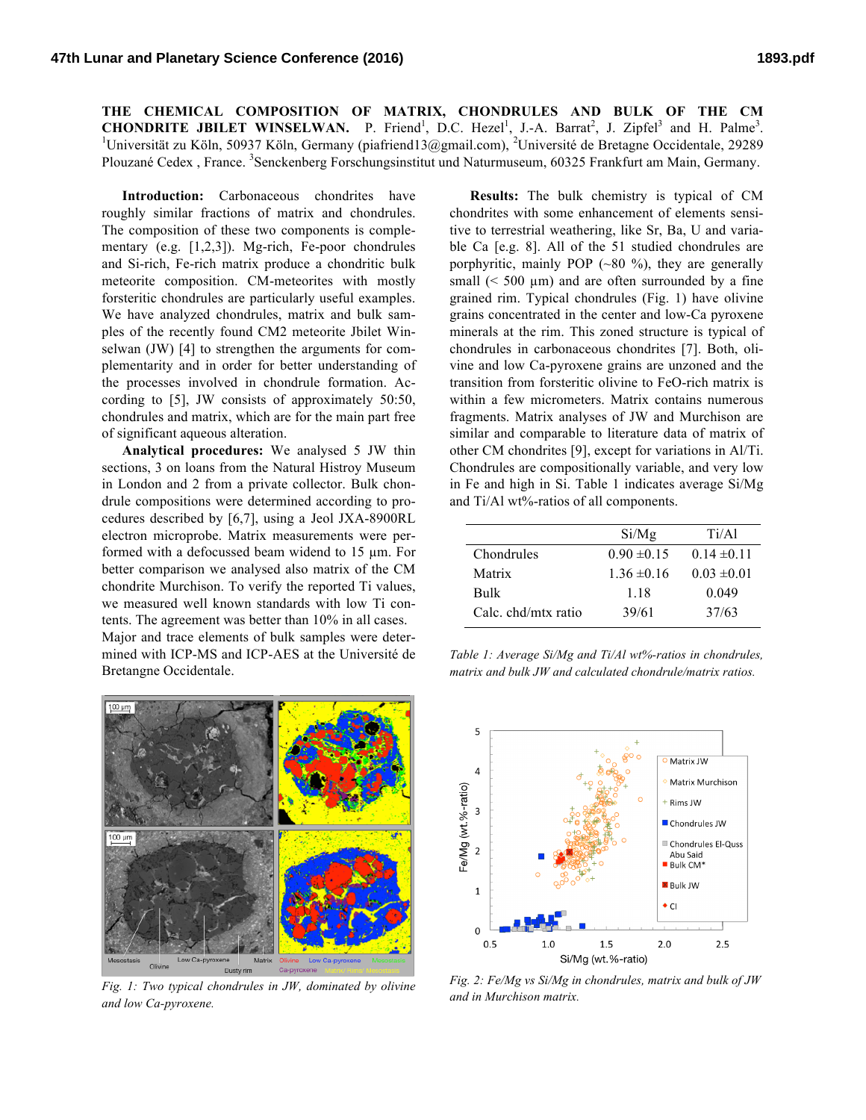**THE CHEMICAL COMPOSITION OF MATRIX, CHONDRULES AND BULK OF THE CM CHONDRITE JBILET WINSELWAN.** P. Friend<sup>1</sup>, D.C. Hezel<sup>1</sup>, J.-A. Barrat<sup>2</sup>, J. Zipfel<sup>3</sup> and H. Palme<sup>3</sup>.<br><sup>1</sup>Universität zu Käln 50037 Käln Germany (piefriend13@gmail.com). <sup>2</sup>Universitä de Pretegne Oscidentale 20220. Universität zu Köln, 50937 Köln, Germany (piafriend13@gmail.com), <sup>2</sup>Université de Bretagne Occidentale, 29289 Plouzané Cedex, France. <sup>3</sup>Senckenberg Forschungsinstitut und Naturmuseum, 60325 Frankfurt am Main, Germany.

**Introduction:** Carbonaceous chondrites have roughly similar fractions of matrix and chondrules. The composition of these two components is complementary (e.g. [1,2,3]). Mg-rich, Fe-poor chondrules and Si-rich, Fe-rich matrix produce a chondritic bulk meteorite composition. CM-meteorites with mostly forsteritic chondrules are particularly useful examples. We have analyzed chondrules, matrix and bulk samples of the recently found CM2 meteorite Jbilet Winselwan (JW) [4] to strengthen the arguments for complementarity and in order for better understanding of the processes involved in chondrule formation. According to [5], JW consists of approximately 50:50, chondrules and matrix, which are for the main part free of significant aqueous alteration.

**Analytical procedures:** We analysed 5 JW thin sections, 3 on loans from the Natural Histroy Museum in London and 2 from a private collector. Bulk chondrule compositions were determined according to procedures described by [6,7], using a Jeol JXA-8900RL electron microprobe. Matrix measurements were performed with a defocussed beam widend to 15 µm. For better comparison we analysed also matrix of the CM chondrite Murchison. To verify the reported Ti values, we measured well known standards with low Ti contents. The agreement was better than 10% in all cases. Major and trace elements of bulk samples were determined with ICP-MS and ICP-AES at the Université de Bretangne Occidentale.

**Results:** The bulk chemistry is typical of CM chondrites with some enhancement of elements sensitive to terrestrial weathering, like Sr, Ba, U and variable Ca [e.g. 8]. All of the 51 studied chondrules are porphyritic, mainly POP  $(-80\%)$ , they are generally small  $(< 500 \mu m)$  and are often surrounded by a fine grained rim. Typical chondrules (Fig. 1) have olivine grains concentrated in the center and low-Ca pyroxene minerals at the rim. This zoned structure is typical of chondrules in carbonaceous chondrites [7]. Both, olivine and low Ca-pyroxene grains are unzoned and the transition from forsteritic olivine to FeO-rich matrix is within a few micrometers. Matrix contains numerous fragments. Matrix analyses of JW and Murchison are similar and comparable to literature data of matrix of other CM chondrites [9], except for variations in Al/Ti. Chondrules are compositionally variable, and very low in Fe and high in Si. Table 1 indicates average Si/Mg and Ti/Al wt%-ratios of all components.

|                    | Si/Mg           | Ti/A1           |
|--------------------|-----------------|-----------------|
| Chondrules         | $0.90 \pm 0.15$ | $0.14 \pm 0.11$ |
| Matrix             | $1.36 \pm 0.16$ | $0.03 \pm 0.01$ |
| <b>Bulk</b>        | 118             | 0.049           |
| Calc chd/mtx ratio | 39/61           | 37/63           |





*Fig. 1: Two typical chondrules in JW, dominated by olivine and low Ca-pyroxene.*

Dusty

100 un

Olivine

*Fig. 2: Fe/Mg vs Si/Mg in chondrules, matrix and bulk of JW and in Murchison matrix.*

 $2.5$ 

*Table 1: Average Si/Mg and Ti/Al wt%-ratios in chondrules, matrix and bulk JW and calculated chondrule/matrix ratios.*